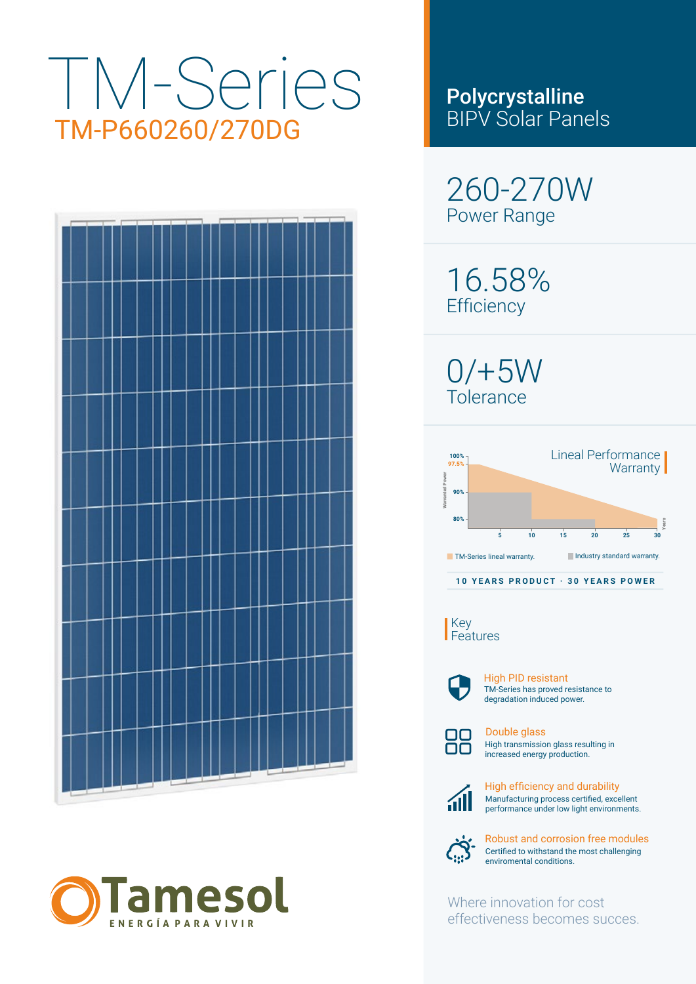# TM-Series TM-P660260/270DG





## Polycrystalline BIPV Solar Panels

260-270W Power Range

16.58% **Efficiency** 

 $0/+5W$ Tolerance



Key Features



TM-Series has proved resistance to degradation induced power. High PID resistant



High transmission glass resulting in increased energy production. Double glass



Manufacturing process certified, excellent performance under low light environments. High efficiency and durability



Certified to withstand the most challenging enviromental conditions. Robust and corrosion free modules

Where innovation for cost effectiveness becomes succes.